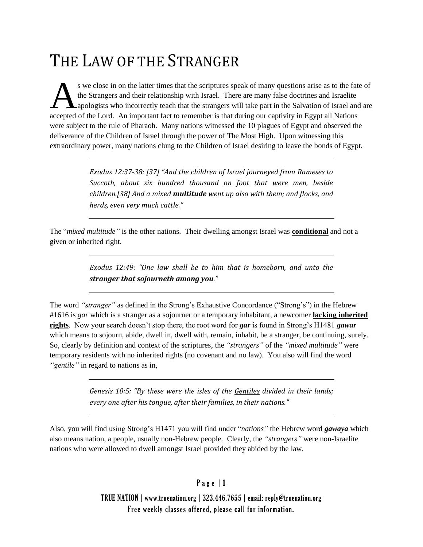# THE LAW OF THE STRANGER

s we close in on the latter times that the scriptures speak of many questions arise as to the fate of the Strangers and their relationship with Israel. There are many false doctrines and Israelite **A** apologists who incorrectly teach that the strangers will take part in the Salvation of Israel and are s we close in on the latter times that the scriptures speak of many questions arise as to the fat<br>the Strangers and their relationship with Israel. There are many false doctrines and Israelite<br>apologists who incorrectly te were subject to the rule of Pharaoh. Many nations witnessed the 10 plagues of Egypt and observed the deliverance of the Children of Israel through the power of The Most High. Upon witnessing this extraordinary power, many nations clung to the Children of Israel desiring to leave the bonds of Egypt.

> *Exodus 12:37-38: [37] "And the children of Israel journeyed from Rameses to Succoth, about six hundred thousand on foot that were men, beside children.[38] And a mixed multitude went up also with them; and flocks, and herds, even very much cattle."*

The "*mixed multitude"* is the other nations. Their dwelling amongst Israel was **conditional** and not a given or inherited right.

> *Exodus 12:49: "One law shall be to him that is homeborn, and unto the stranger that sojourneth among you."*

The word *"stranger"* as defined in the Strong's Exhaustive Concordance ("Strong's") in the Hebrew #1616 is *gar* which is a stranger as a sojourner or a temporary inhabitant, a newcomer **lacking inherited rights**. Now your search doesn't stop there, the root word for *gar* is found in Strong's H1481 *gawar* which means to sojourn, abide, dwell in, dwell with, remain, inhabit, be a stranger, be continuing, surely. So, clearly by definition and context of the scriptures, the *"strangers"* of the *"mixed multitude"* were temporary residents with no inherited rights (no covenant and no law). You also will find the word *"gentile"* in regard to nations as in,

> *Genesis 10:5: "By these were the isles of the Gentiles divided in their lands; every one after his tongue, after their families, in their nations."*

Also, you will find using Strong's H1471 you will find under "*nations"* the Hebrew word *gawaya* which also means nation, a people, usually non-Hebrew people. Clearly, the *"strangers"* were non-Israelite nations who were allowed to dwell amongst Israel provided they abided by the law.

### $P$  a g e  $|1$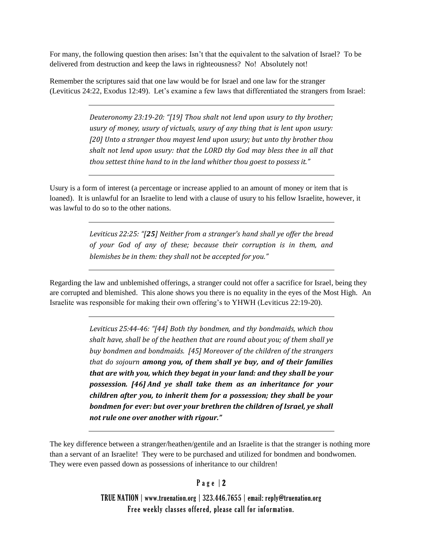For many, the following question then arises: Isn't that the equivalent to the salvation of Israel? To be delivered from destruction and keep the laws in righteousness? No! Absolutely not!

Remember the scriptures said that one law would be for Israel and one law for the stranger (Leviticus 24:22, Exodus 12:49). Let's examine a few laws that differentiated the strangers from Israel:

> *Deuteronomy 23:19-20: "[19] Thou shalt not lend upon usury to thy brother; usury of money, usury of victuals, usury of any thing that is lent upon usury: [20] Unto a stranger thou mayest lend upon usury; but unto thy brother thou shalt not lend upon usury: that the LORD thy God may bless thee in all that thou settest thine hand to in the land whither thou goest to possess it."*

Usury is a form of interest (a percentage or increase applied to an amount of money or item that is loaned). It is unlawful for an Israelite to lend with a clause of usury to his fellow Israelite, however, it was lawful to do so to the other nations.

> *Leviticus 22:25: "[25] Neither from a stranger's hand shall ye offer the bread of your God of any of these; because their corruption is in them, and blemishes be in them: they shall not be accepted for you."*

Regarding the law and unblemished offerings, a stranger could not offer a sacrifice for Israel, being they are corrupted and blemished. This alone shows you there is no equality in the eyes of the Most High. An Israelite was responsible for making their own offering's to YHWH (Leviticus 22:19-20).

> *Leviticus 25:44-46: "[44] Both thy bondmen, and thy bondmaids, which thou shalt have, shall be of the heathen that are round about you; of them shall ye buy bondmen and bondmaids. [45] Moreover of the children of the strangers that do sojourn among you, of them shall ye buy, and of their families that are with you, which they begat in your land: and they shall be your possession. [46] And ye shall take them as an inheritance for your children after you, to inherit them for a possession; they shall be your bondmen for ever: but over your brethren the children of Israel, ye shall not rule one over another with rigour."*

The key difference between a stranger/heathen/gentile and an Israelite is that the stranger is nothing more than a servant of an Israelite! They were to be purchased and utilized for bondmen and bondwomen. They were even passed down as possessions of inheritance to our children!

#### Page | 2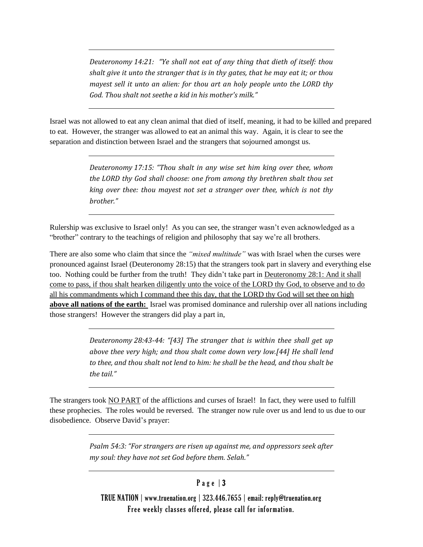*Deuteronomy 14:21: "Ye shall not eat of any thing that dieth of itself: thou shalt give it unto the stranger that is in thy gates, that he may eat it; or thou mayest sell it unto an alien: for thou art an holy people unto the LORD thy God. Thou shalt not seethe a kid in his mother's milk."*

Israel was not allowed to eat any clean animal that died of itself, meaning, it had to be killed and prepared to eat. However, the stranger was allowed to eat an animal this way. Again, it is clear to see the separation and distinction between Israel and the strangers that sojourned amongst us.

> *Deuteronomy 17:15: "Thou shalt in any wise set him king over thee, whom the LORD thy God shall choose: one from among thy brethren shalt thou set king over thee: thou mayest not set a stranger over thee, which is not thy brother."*

Rulership was exclusive to Israel only! As you can see, the stranger wasn't even acknowledged as a "brother" contrary to the teachings of religion and philosophy that say we're all brothers.

There are also some who claim that since the *"mixed multitude"* was with Israel when the curses were pronounced against Israel (Deuteronomy 28:15) that the strangers took part in slavery and everything else too. Nothing could be further from the truth! They didn't take part in Deuteronomy 28:1: And it shall come to pass, if thou shalt hearken diligently unto the voice of the LORD thy God, to observe and to do all his commandments which I command thee this day, that the LORD thy God will set thee on high **above all nations of the earth:** Israel was promised dominance and rulership over all nations including those strangers! However the strangers did play a part in,

> *Deuteronomy 28:43-44: "[43] The stranger that is within thee shall get up above thee very high; and thou shalt come down very low.[44] He shall lend to thee, and thou shalt not lend to him: he shall be the head, and thou shalt be the tail."*

The strangers took NO PART of the afflictions and curses of Israel! In fact, they were used to fulfill these prophecies. The roles would be reversed. The stranger now rule over us and lend to us due to our disobedience. Observe David's prayer:

> *Psalm 54:3: "For strangers are risen up against me, and oppressors seek after my soul: they have not set God before them. Selah."*

## Page | 3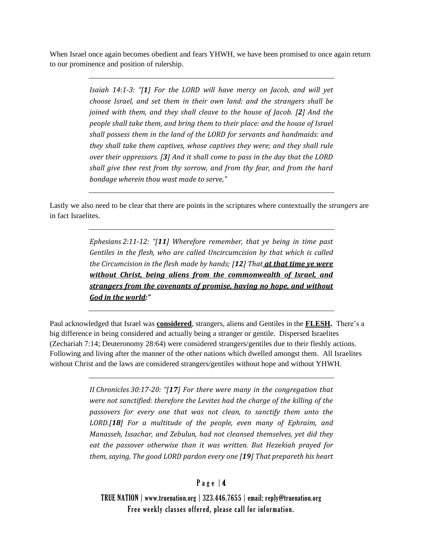When Israel once again becomes obedient and fears YHWH, we have been promised to once again return to our prominence and position of rulership.

> *Isaiah 14:1-3: "[1] For the LORD will have mercy on Jacob, and will yet choose Israel, and set them in their own land: and the strangers shall be joined with them, and they shall cleave to the house of Jacob. [2] And the people shall take them, and bring them to their place: and the house of Israel shall possess them in the land of the LORD for servants and handmaids: and they shall take them captives, whose captives they were; and they shall rule over their oppressors. [3] And it shall come to pass in the day that the LORD shall give thee rest from thy sorrow, and from thy fear, and from the hard bondage wherein thou wast made to serve,"*

Lastly we also need to be clear that there are points in the scriptures where contextually the *strangers* are in fact Israelites.

> *Ephesians 2:11-12: "[11] Wherefore remember, that ye being in time past Gentiles in the flesh, who are called Uncircumcision by that which is called the Circumcision in the flesh made by hands; [12] That at that time ye were without Christ, being aliens from the commonwealth of Israel, and strangers from the covenants of promise, having no hope, and without God in the world:"*

Paul acknowledged that Israel was **considered**, strangers, aliens and Gentiles in the **FLESH.** There's a big difference in being considered and actually being a stranger or gentile. Dispersed Israelites (Zechariah 7:14; Deuteronomy 28:64) were considered strangers/gentiles due to their fleshly actions. Following and living after the manner of the other nations which dwelled amongst them. All Israelites without Christ and the laws are considered strangers/gentiles without hope and without YHWH.

> *II Chronicles 30:17-20: "[17] For there were many in the congregation that were not sanctified: therefore the Levites had the charge of the killing of the passovers for every one that was not clean, to sanctify them unto the LORD.[18] For a multitude of the people, even many of Ephraim, and Manasseh, Issachar, and Zebulun, had not cleansed themselves, yet did they eat the passover otherwise than it was written. But Hezekiah prayed for them, saying, The good LORD pardon every one [19] That prepareth his heart*

### Page  $|4$